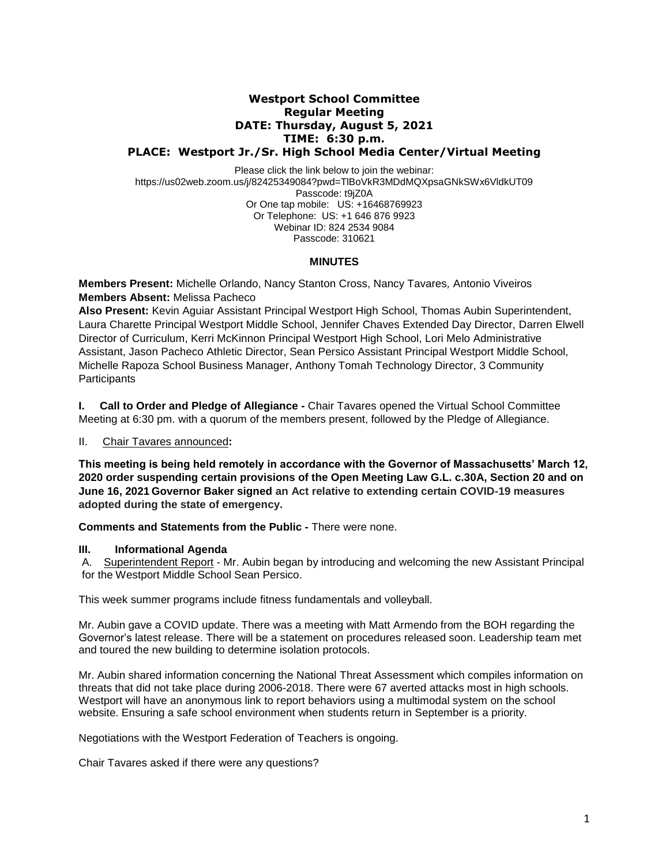## **Westport School Committee Regular Meeting DATE: Thursday, August 5, 2021 TIME: 6:30 p.m. PLACE: Westport Jr./Sr. High School Media Center/Virtual Meeting**

Please click the link below to join the webinar: https://us02web.zoom.us/j/82425349084?pwd=TlBoVkR3MDdMQXpsaGNkSWx6VldkUT09 Passcode: t9jZ0A Or One tap mobile: US: +16468769923 Or Telephone: US: +1 646 876 9923 Webinar ID: 824 2534 9084 Passcode: 310621

#### **MINUTES**

**Members Present:** Michelle Orlando, Nancy Stanton Cross, Nancy Tavares*,* Antonio Viveiros **Members Absent:** Melissa Pacheco

**Also Present:** Kevin Aguiar Assistant Principal Westport High School, Thomas Aubin Superintendent, Laura Charette Principal Westport Middle School, Jennifer Chaves Extended Day Director, Darren Elwell Director of Curriculum, Kerri McKinnon Principal Westport High School, Lori Melo Administrative Assistant, Jason Pacheco Athletic Director, Sean Persico Assistant Principal Westport Middle School, Michelle Rapoza School Business Manager, Anthony Tomah Technology Director, 3 Community **Participants** 

**I. Call to Order and Pledge of Allegiance -** Chair Tavares opened the Virtual School Committee Meeting at 6:30 pm. with a quorum of the members present, followed by the Pledge of Allegiance.

II. Chair Tavares announced**:** 

**This meeting is being held remotely in accordance with the Governor of Massachusetts' March 12, 2020 order suspending certain provisions of the Open Meeting Law G.L. c.30A, Section 20 and on June 16, 2021 Governor Baker signed an Act relative to extending certain COVID-19 measures adopted during the state of emergency.**

**Comments and Statements from the Public -** There were none.

#### **III. Informational Agenda**

A. Superintendent Report - Mr. Aubin began by introducing and welcoming the new Assistant Principal for the Westport Middle School Sean Persico.

This week summer programs include fitness fundamentals and volleyball.

Mr. Aubin gave a COVID update. There was a meeting with Matt Armendo from the BOH regarding the Governor's latest release. There will be a statement on procedures released soon. Leadership team met and toured the new building to determine isolation protocols.

Mr. Aubin shared information concerning the National Threat Assessment which compiles information on threats that did not take place during 2006-2018. There were 67 averted attacks most in high schools. Westport will have an anonymous link to report behaviors using a multimodal system on the school website. Ensuring a safe school environment when students return in September is a priority.

Negotiations with the Westport Federation of Teachers is ongoing.

Chair Tavares asked if there were any questions?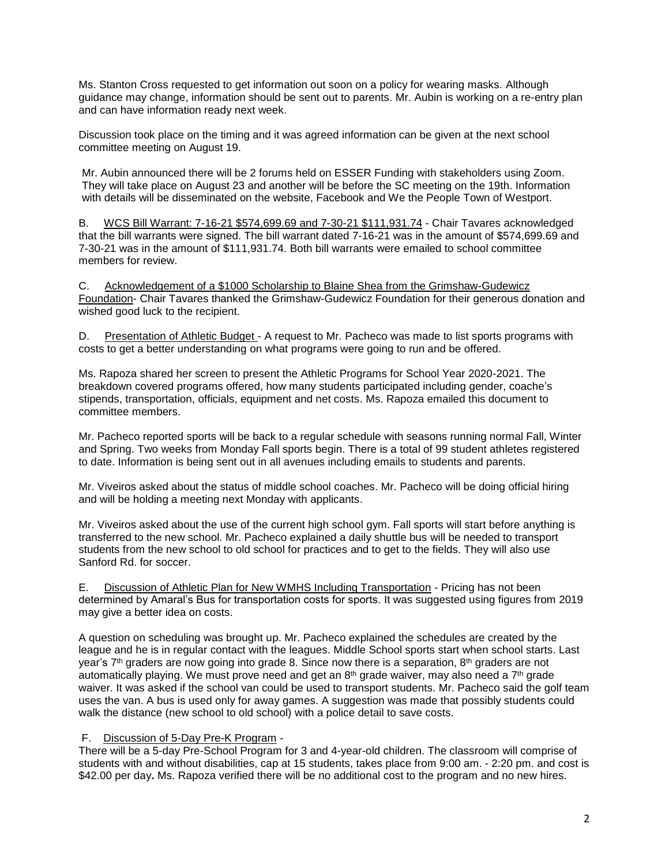Ms. Stanton Cross requested to get information out soon on a policy for wearing masks. Although guidance may change, information should be sent out to parents. Mr. Aubin is working on a re-entry plan and can have information ready next week.

Discussion took place on the timing and it was agreed information can be given at the next school committee meeting on August 19.

Mr. Aubin announced there will be 2 forums held on ESSER Funding with stakeholders using Zoom. They will take place on August 23 and another will be before the SC meeting on the 19th. Information with details will be disseminated on the website, Facebook and We the People Town of Westport.

B. WCS Bill Warrant: 7-16-21 \$574,699.69 and 7-30-21 \$111,931.74 - Chair Tavares acknowledged that the bill warrants were signed. The bill warrant dated 7-16-21 was in the amount of \$574,699.69 and 7-30-21 was in the amount of \$111,931.74. Both bill warrants were emailed to school committee members for review.

C. Acknowledgement of a \$1000 Scholarship to Blaine Shea from the Grimshaw-Gudewicz Foundation- Chair Tavares thanked the Grimshaw-Gudewicz Foundation for their generous donation and wished good luck to the recipient.

D. Presentation of Athletic Budget - A request to Mr. Pacheco was made to list sports programs with costs to get a better understanding on what programs were going to run and be offered.

Ms. Rapoza shared her screen to present the Athletic Programs for School Year 2020-2021. The breakdown covered programs offered, how many students participated including gender, coache's stipends, transportation, officials, equipment and net costs. Ms. Rapoza emailed this document to committee members.

Mr. Pacheco reported sports will be back to a regular schedule with seasons running normal Fall, Winter and Spring. Two weeks from Monday Fall sports begin. There is a total of 99 student athletes registered to date. Information is being sent out in all avenues including emails to students and parents.

Mr. Viveiros asked about the status of middle school coaches. Mr. Pacheco will be doing official hiring and will be holding a meeting next Monday with applicants.

Mr. Viveiros asked about the use of the current high school gym. Fall sports will start before anything is transferred to the new school. Mr. Pacheco explained a daily shuttle bus will be needed to transport students from the new school to old school for practices and to get to the fields. They will also use Sanford Rd. for soccer.

E. Discussion of Athletic Plan for New WMHS Including Transportation - Pricing has not been determined by Amaral's Bus for transportation costs for sports. It was suggested using figures from 2019 may give a better idea on costs.

A question on scheduling was brought up. Mr. Pacheco explained the schedules are created by the league and he is in regular contact with the leagues. Middle School sports start when school starts. Last year's 7<sup>th</sup> graders are now going into grade 8. Since now there is a separation, 8<sup>th</sup> graders are not automatically playing. We must prove need and get an 8<sup>th</sup> grade waiver, may also need a 7<sup>th</sup> grade waiver. It was asked if the school van could be used to transport students. Mr. Pacheco said the golf team uses the van. A bus is used only for away games. A suggestion was made that possibly students could walk the distance (new school to old school) with a police detail to save costs.

#### F. Discussion of 5-Day Pre-K Program -

There will be a 5-day Pre-School Program for 3 and 4-year-old children. The classroom will comprise of students with and without disabilities, cap at 15 students, takes place from 9:00 am. - 2:20 pm. and cost is \$42.00 per day**.** Ms. Rapoza verified there will be no additional cost to the program and no new hires.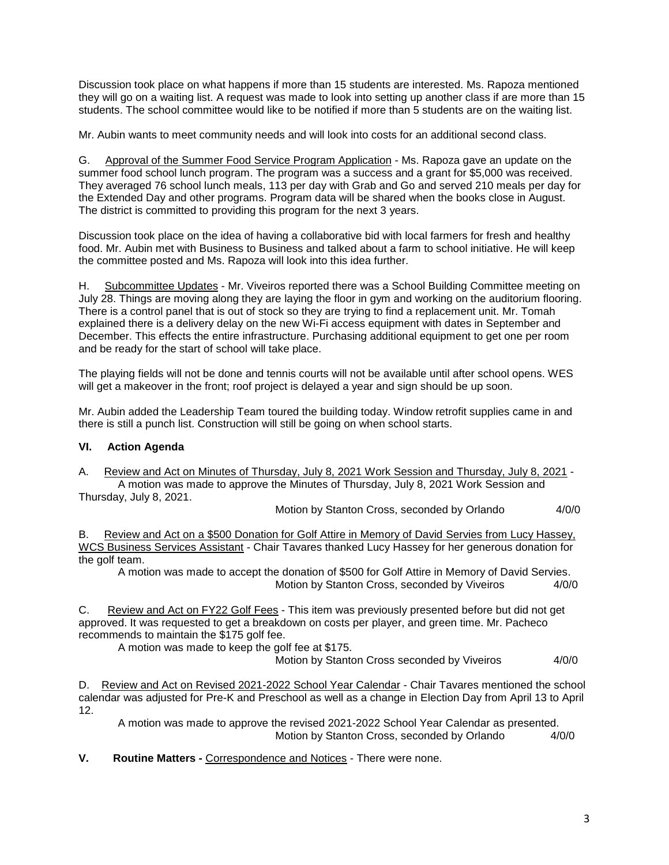Discussion took place on what happens if more than 15 students are interested. Ms. Rapoza mentioned they will go on a waiting list. A request was made to look into setting up another class if are more than 15 students. The school committee would like to be notified if more than 5 students are on the waiting list.

Mr. Aubin wants to meet community needs and will look into costs for an additional second class.

G. Approval of the Summer Food Service Program Application - Ms. Rapoza gave an update on the summer food school lunch program. The program was a success and a grant for \$5,000 was received. They averaged 76 school lunch meals, 113 per day with Grab and Go and served 210 meals per day for the Extended Day and other programs. Program data will be shared when the books close in August. The district is committed to providing this program for the next 3 years.

Discussion took place on the idea of having a collaborative bid with local farmers for fresh and healthy food. Mr. Aubin met with Business to Business and talked about a farm to school initiative. He will keep the committee posted and Ms. Rapoza will look into this idea further.

H. Subcommittee Updates - Mr. Viveiros reported there was a School Building Committee meeting on July 28. Things are moving along they are laying the floor in gym and working on the auditorium flooring. There is a control panel that is out of stock so they are trying to find a replacement unit. Mr. Tomah explained there is a delivery delay on the new Wi-Fi access equipment with dates in September and December. This effects the entire infrastructure. Purchasing additional equipment to get one per room and be ready for the start of school will take place.

The playing fields will not be done and tennis courts will not be available until after school opens. WES will get a makeover in the front; roof project is delayed a year and sign should be up soon.

Mr. Aubin added the Leadership Team toured the building today. Window retrofit supplies came in and there is still a punch list. Construction will still be going on when school starts.

## **VI. Action Agenda**

A. Review and Act on Minutes of Thursday, July 8, 2021 Work Session and Thursday, July 8, 2021 - A motion was made to approve the Minutes of Thursday, July 8, 2021 Work Session and Thursday, July 8, 2021.

Motion by Stanton Cross, seconded by Orlando 4/0/0

B. Review and Act on a \$500 Donation for Golf Attire in Memory of David Servies from Lucy Hassey, WCS Business Services Assistant - Chair Tavares thanked Lucy Hassey for her generous donation for the golf team.

A motion was made to accept the donation of \$500 for Golf Attire in Memory of David Servies. Motion by Stanton Cross, seconded by Viveiros 4/0/0

C. Review and Act on FY22 Golf Fees - This item was previously presented before but did not get approved. It was requested to get a breakdown on costs per player, and green time. Mr. Pacheco recommends to maintain the \$175 golf fee.

A motion was made to keep the golf fee at \$175.

Motion by Stanton Cross seconded by Viveiros 4/0/0

D. Review and Act on Revised 2021-2022 School Year Calendar - Chair Tavares mentioned the school calendar was adjusted for Pre-K and Preschool as well as a change in Election Day from April 13 to April 12.

A motion was made to approve the revised 2021-2022 School Year Calendar as presented. Motion by Stanton Cross, seconded by Orlando 4/0/0

**V. Routine Matters -** Correspondence and Notices - There were none.